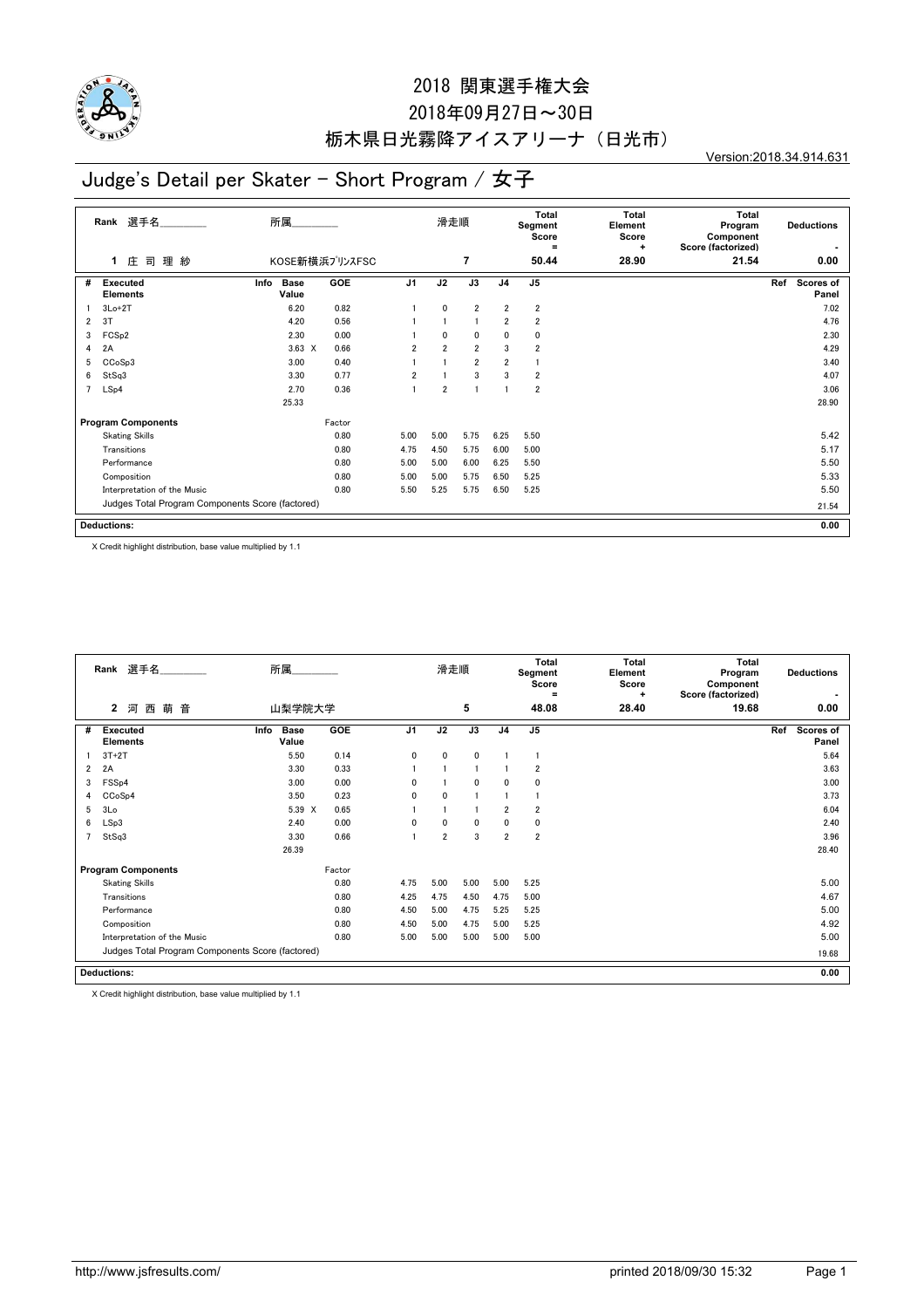

## 2018年09月27日~30日 栃木県日光霧降アイスアリーナ(日光市)

Version:2018.34.914.631

# Judge's Detail per Skater - Short Program / 女子

|                | 選手名<br>Rank                                      | 所属                    |                |                | 滑走順            |                |                | Total<br>Segment<br>Score<br>$=$ | <b>Total</b><br>Element<br>Score<br>$\ddot{}$ | <b>Total</b><br>Program<br>Component<br>Score (factorized) | <b>Deductions</b>         |
|----------------|--------------------------------------------------|-----------------------|----------------|----------------|----------------|----------------|----------------|----------------------------------|-----------------------------------------------|------------------------------------------------------------|---------------------------|
|                | 理紗<br>庄<br>司<br>1.                               |                       | KOSE新横浜プリンスFSC |                |                | $\overline{7}$ |                | 50.44                            | 28.90                                         | 21.54                                                      | 0.00                      |
| #              | <b>Executed</b><br><b>Elements</b>               | Base<br>Info<br>Value | <b>GOE</b>     | J <sub>1</sub> | J2             | J3             | J <sub>4</sub> | J <sub>5</sub>                   |                                               |                                                            | Ref<br>Scores of<br>Panel |
|                | $3Lo+2T$                                         | 6.20                  | 0.82           |                | $\mathbf{0}$   | $\overline{2}$ | $\overline{2}$ | $\overline{2}$                   |                                               |                                                            | 7.02                      |
| $\overline{2}$ | 3T                                               | 4.20                  | 0.56           |                | $\overline{1}$ | $\overline{1}$ | $\overline{2}$ | $\overline{2}$                   |                                               |                                                            | 4.76                      |
| 3              | FCS <sub>p2</sub>                                | 2.30                  | 0.00           |                | $\mathbf{0}$   | $\mathbf 0$    | 0              | 0                                |                                               |                                                            | 2.30                      |
| 4              | 2A                                               | $3.63 \times$         | 0.66           | $\overline{2}$ | $\overline{2}$ | $\overline{2}$ | 3              | $\overline{2}$                   |                                               |                                                            | 4.29                      |
| 5              | CCoSp3                                           | 3.00                  | 0.40           |                |                | $\overline{2}$ | $\overline{2}$ |                                  |                                               |                                                            | 3.40                      |
| 6              | StSq3                                            | 3.30                  | 0.77           | $\overline{2}$ |                | 3              | 3              | $\overline{\mathbf{2}}$          |                                               |                                                            | 4.07                      |
| 7              | LSp4                                             | 2.70                  | 0.36           |                | $\overline{2}$ |                |                | 2                                |                                               |                                                            | 3.06                      |
|                |                                                  | 25.33                 |                |                |                |                |                |                                  |                                               |                                                            | 28.90                     |
|                | <b>Program Components</b>                        |                       | Factor         |                |                |                |                |                                  |                                               |                                                            |                           |
|                | <b>Skating Skills</b>                            |                       | 0.80           | 5.00           | 5.00           | 5.75           | 6.25           | 5.50                             |                                               |                                                            | 5.42                      |
|                | Transitions                                      |                       | 0.80           | 4.75           | 4.50           | 5.75           | 6.00           | 5.00                             |                                               |                                                            | 5.17                      |
|                | Performance                                      |                       | 0.80           | 5.00           | 5.00           | 6.00           | 6.25           | 5.50                             |                                               |                                                            | 5.50                      |
|                | Composition                                      |                       | 0.80           | 5.00           | 5.00           | 5.75           | 6.50           | 5.25                             |                                               |                                                            | 5.33                      |
|                | Interpretation of the Music                      |                       | 0.80           | 5.50           | 5.25           | 5.75           | 6.50           | 5.25                             |                                               |                                                            | 5.50                      |
|                | Judges Total Program Components Score (factored) |                       |                |                |                |                |                |                                  |                                               |                                                            | 21.54                     |
|                | <b>Deductions:</b>                               |                       |                |                |                |                |                |                                  |                                               |                                                            | 0.00                      |

X Credit highlight distribution, base value multiplied by 1.1

|                | Rank 選手名                                         | 所属                           |        |              | 滑走順            |              |                | <b>Total</b><br>Segment<br>Score<br>Ξ | <b>Total</b><br>Element<br>Score<br>٠ | Total<br>Program<br>Component<br>Score (factorized) | <b>Deductions</b>                |
|----------------|--------------------------------------------------|------------------------------|--------|--------------|----------------|--------------|----------------|---------------------------------------|---------------------------------------|-----------------------------------------------------|----------------------------------|
|                | 萌<br>音<br>$\mathbf{2}$<br>河<br>西                 | 山梨学院大学                       |        |              |                | 5            |                | 48.08                                 | 28.40                                 | 19.68                                               | 0.00                             |
| #              | <b>Executed</b><br><b>Elements</b>               | <b>Base</b><br>Info<br>Value | GOE    | J1           | J2             | J3           | J <sub>4</sub> | J <sub>5</sub>                        |                                       |                                                     | Ref<br><b>Scores of</b><br>Panel |
|                | $3T+2T$                                          | 5.50                         | 0.14   | $\mathbf{0}$ | $\mathbf{0}$   | $\mathbf{0}$ |                |                                       |                                       |                                                     | 5.64                             |
| $\overline{2}$ | 2A                                               | 3.30                         | 0.33   |              |                |              |                | $\overline{2}$                        |                                       |                                                     | 3.63                             |
| 3              | FSS <sub>p4</sub>                                | 3.00                         | 0.00   | $\Omega$     |                | $\mathbf{0}$ | 0              | $\mathbf 0$                           |                                       |                                                     | 3.00                             |
| 4              | CCoSp4                                           | 3.50                         | 0.23   | $\mathbf{0}$ | $\mathbf{0}$   |              |                |                                       |                                       |                                                     | 3.73                             |
| 5              | 3 <sub>0</sub>                                   | 5.39 X                       | 0.65   |              |                |              | $\overline{2}$ | $\overline{2}$                        |                                       |                                                     | 6.04                             |
| 6              | LSp3                                             | 2.40                         | 0.00   | 0            | 0              | 0            | 0              | 0                                     |                                       |                                                     | 2.40                             |
|                | StSq3                                            | 3.30                         | 0.66   |              | $\overline{2}$ | 3            | $\overline{2}$ | $\overline{2}$                        |                                       |                                                     | 3.96                             |
|                |                                                  | 26.39                        |        |              |                |              |                |                                       |                                       |                                                     | 28.40                            |
|                | <b>Program Components</b>                        |                              | Factor |              |                |              |                |                                       |                                       |                                                     |                                  |
|                | <b>Skating Skills</b>                            |                              | 0.80   | 4.75         | 5.00           | 5.00         | 5.00           | 5.25                                  |                                       |                                                     | 5.00                             |
|                | Transitions                                      |                              | 0.80   | 4.25         | 4.75           | 4.50         | 4.75           | 5.00                                  |                                       |                                                     | 4.67                             |
|                | Performance                                      |                              | 0.80   | 4.50         | 5.00           | 4.75         | 5.25           | 5.25                                  |                                       |                                                     | 5.00                             |
|                | Composition                                      |                              | 0.80   | 4.50         | 5.00           | 4.75         | 5.00           | 5.25                                  |                                       |                                                     | 4.92                             |
|                | Interpretation of the Music                      |                              | 0.80   | 5.00         | 5.00           | 5.00         | 5.00           | 5.00                                  |                                       |                                                     | 5.00                             |
|                | Judges Total Program Components Score (factored) |                              |        |              |                |              |                |                                       |                                       |                                                     | 19.68                            |
|                | <b>Deductions:</b>                               |                              |        |              |                |              |                |                                       |                                       |                                                     | 0.00                             |

X Credit highlight distribution, base value multiplied by 1.1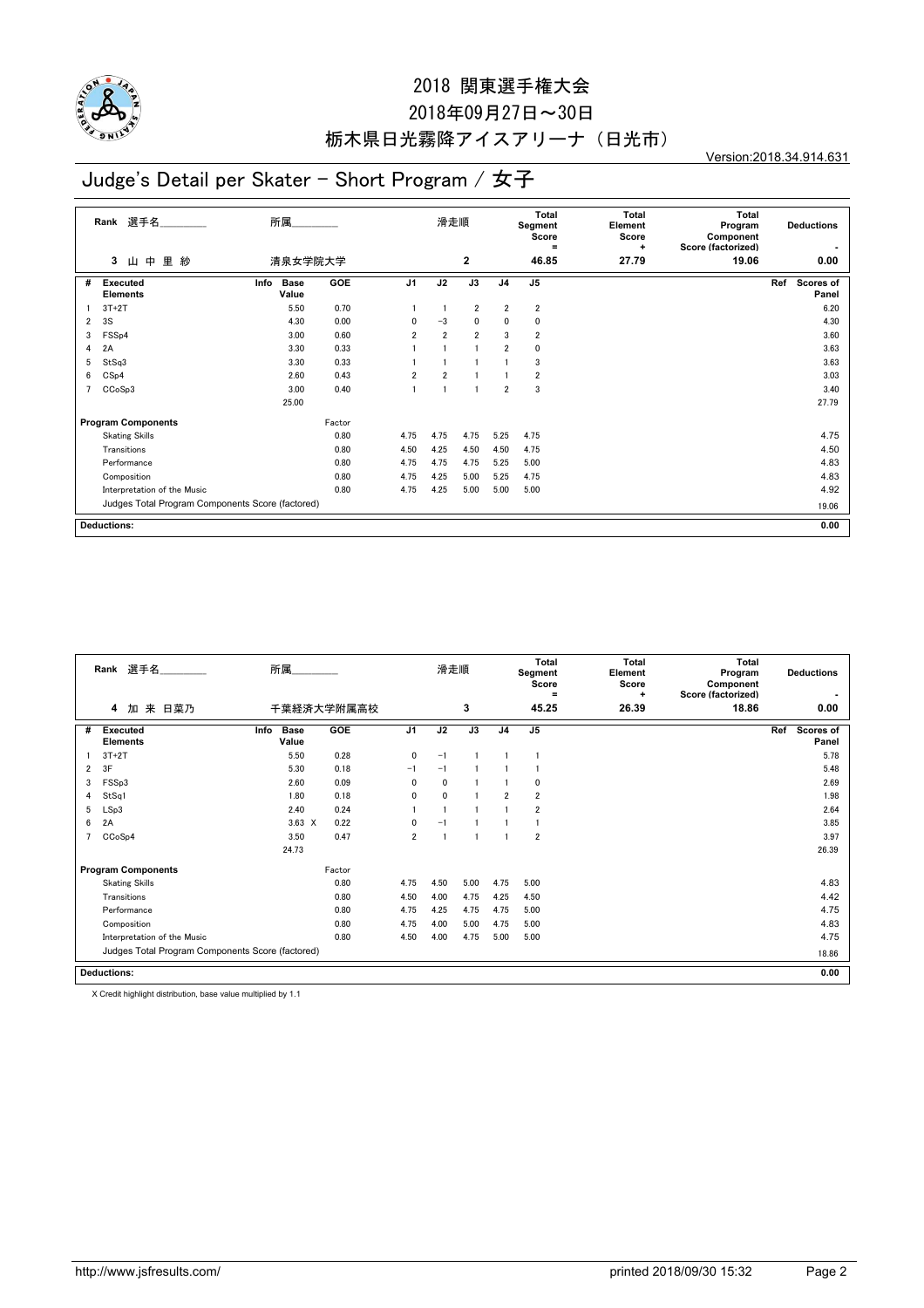

## 2018年09月27日~30日 栃木県日光霧降アイスアリーナ(日光市)

Version:2018.34.914.631

# Judge's Detail per Skater - Short Program / 女子

|                | 選手名<br>Rank                                      | 所属                           |        |                | 滑走順                     |                |                | <b>Total</b><br>Segment<br>Score<br>$=$ | Total<br>Element<br>Score<br>÷ | <b>Total</b><br>Program<br>Component<br>Score (factorized) | <b>Deductions</b>         |
|----------------|--------------------------------------------------|------------------------------|--------|----------------|-------------------------|----------------|----------------|-----------------------------------------|--------------------------------|------------------------------------------------------------|---------------------------|
|                | 里<br>中<br>紗<br>3<br>ш                            | 清泉女学院大学                      |        |                |                         | $\mathbf{2}$   |                | 46.85                                   | 27.79                          | 19.06                                                      | 0.00                      |
| #              | <b>Executed</b><br><b>Elements</b>               | Info<br><b>Base</b><br>Value | GOE    | J <sub>1</sub> | J2                      | J3             | J <sub>4</sub> | J <sub>5</sub>                          |                                |                                                            | Ref<br>Scores of<br>Panel |
|                | $3T+2T$                                          | 5.50                         | 0.70   |                |                         | $\overline{2}$ | $\overline{2}$ | $\overline{2}$                          |                                |                                                            | 6.20                      |
| $\overline{2}$ | 3S                                               | 4.30                         | 0.00   | 0              | $-3$                    | $\mathbf{0}$   | $\mathbf{0}$   | 0                                       |                                |                                                            | 4.30                      |
| 3              | FSSp4                                            | 3.00                         | 0.60   | $\overline{2}$ | $\overline{2}$          | $\overline{2}$ | 3              | $\overline{\mathbf{2}}$                 |                                |                                                            | 3.60                      |
| 4              | 2A                                               | 3.30                         | 0.33   |                | $\overline{\mathbf{1}}$ |                | $\overline{2}$ | 0                                       |                                |                                                            | 3.63                      |
| 5              | StSq3                                            | 3.30                         | 0.33   |                |                         |                |                | 3                                       |                                |                                                            | 3.63                      |
| 6              | CSp4                                             | 2.60                         | 0.43   | $\overline{2}$ | $\overline{2}$          |                |                | $\overline{2}$                          |                                |                                                            | 3.03                      |
| $\overline{7}$ | CCoSp3                                           | 3.00                         | 0.40   |                | $\overline{1}$          |                | $\overline{2}$ | 3                                       |                                |                                                            | 3.40                      |
|                |                                                  | 25.00                        |        |                |                         |                |                |                                         |                                |                                                            | 27.79                     |
|                | <b>Program Components</b>                        |                              | Factor |                |                         |                |                |                                         |                                |                                                            |                           |
|                | <b>Skating Skills</b>                            |                              | 0.80   | 4.75           | 4.75                    | 4.75           | 5.25           | 4.75                                    |                                |                                                            | 4.75                      |
|                | Transitions                                      |                              | 0.80   | 4.50           | 4.25                    | 4.50           | 4.50           | 4.75                                    |                                |                                                            | 4.50                      |
|                | Performance                                      |                              | 0.80   | 4.75           | 4.75                    | 4.75           | 5.25           | 5.00                                    |                                |                                                            | 4.83                      |
|                | Composition                                      |                              | 0.80   | 4.75           | 4.25                    | 5.00           | 5.25           | 4.75                                    |                                |                                                            | 4.83                      |
|                | Interpretation of the Music                      |                              | 0.80   | 4.75           | 4.25                    | 5.00           | 5.00           | 5.00                                    |                                |                                                            | 4.92                      |
|                | Judges Total Program Components Score (factored) |                              |        |                |                         |                |                |                                         |                                |                                                            | 19.06                     |
|                | <b>Deductions:</b>                               |                              |        |                |                         |                |                |                                         |                                |                                                            | 0.00                      |

|                | Rank 選手名                                         | 所属                           |            |                | 滑走順          |      |                | <b>Total</b><br>Segment<br>Score<br>$\equiv$ | Total<br>Element<br>Score<br>÷ | <b>Total</b><br>Program<br>Component<br>Score (factorized) | <b>Deductions</b>         |
|----------------|--------------------------------------------------|------------------------------|------------|----------------|--------------|------|----------------|----------------------------------------------|--------------------------------|------------------------------------------------------------|---------------------------|
|                | 来 日菜乃<br>4<br>加                                  |                              | 千葉経済大学附属高校 |                |              | 3    |                | 45.25                                        | 26.39                          | 18.86                                                      | 0.00                      |
| #              | Executed<br><b>Elements</b>                      | Info<br><b>Base</b><br>Value | <b>GOE</b> | J <sub>1</sub> | J2           | J3   | J <sub>4</sub> | J5                                           |                                |                                                            | Ref<br>Scores of<br>Panel |
|                | $3T+2T$                                          | 5.50                         | 0.28       | 0              | $-1$         |      |                |                                              |                                |                                                            | 5.78                      |
| 2              | 3F                                               | 5.30                         | 0.18       | $-1$           | $-1$         |      |                |                                              |                                |                                                            | 5.48                      |
| 3              | FSSp3                                            | 2.60                         | 0.09       | 0              | $\mathbf{0}$ |      |                | $\mathbf 0$                                  |                                |                                                            | 2.69                      |
| 4              | StSq1                                            | 1.80                         | 0.18       | 0              | $\mathbf{0}$ |      | $\overline{2}$ | $\overline{2}$                               |                                |                                                            | 1.98                      |
| 5              | LSp3                                             | 2.40                         | 0.24       |                |              |      |                | $\overline{2}$                               |                                |                                                            | 2.64                      |
| 6              | 2A                                               | $3.63 \times$                | 0.22       | 0              | $-1$         |      |                |                                              |                                |                                                            | 3.85                      |
| $\overline{7}$ | CCoSp4                                           | 3.50                         | 0.47       | $\overline{2}$ |              |      |                | $\overline{2}$                               |                                |                                                            | 3.97                      |
|                |                                                  | 24.73                        |            |                |              |      |                |                                              |                                |                                                            | 26.39                     |
|                | <b>Program Components</b>                        |                              | Factor     |                |              |      |                |                                              |                                |                                                            |                           |
|                | <b>Skating Skills</b>                            |                              | 0.80       | 4.75           | 4.50         | 5.00 | 4.75           | 5.00                                         |                                |                                                            | 4.83                      |
|                | Transitions                                      |                              | 0.80       | 4.50           | 4.00         | 4.75 | 4.25           | 4.50                                         |                                |                                                            | 4.42                      |
|                | Performance                                      |                              | 0.80       | 4.75           | 4.25         | 4.75 | 4.75           | 5.00                                         |                                |                                                            | 4.75                      |
|                | Composition                                      |                              | 0.80       | 4.75           | 4.00         | 5.00 | 4.75           | 5.00                                         |                                |                                                            | 4.83                      |
|                | Interpretation of the Music                      |                              | 0.80       | 4.50           | 4.00         | 4.75 | 5.00           | 5.00                                         |                                |                                                            | 4.75                      |
|                | Judges Total Program Components Score (factored) |                              |            |                |              |      |                |                                              |                                |                                                            | 18.86                     |
|                | <b>Deductions:</b>                               |                              |            |                |              |      |                |                                              |                                |                                                            | 0.00                      |

X Credit highlight distribution, base value multiplied by 1.1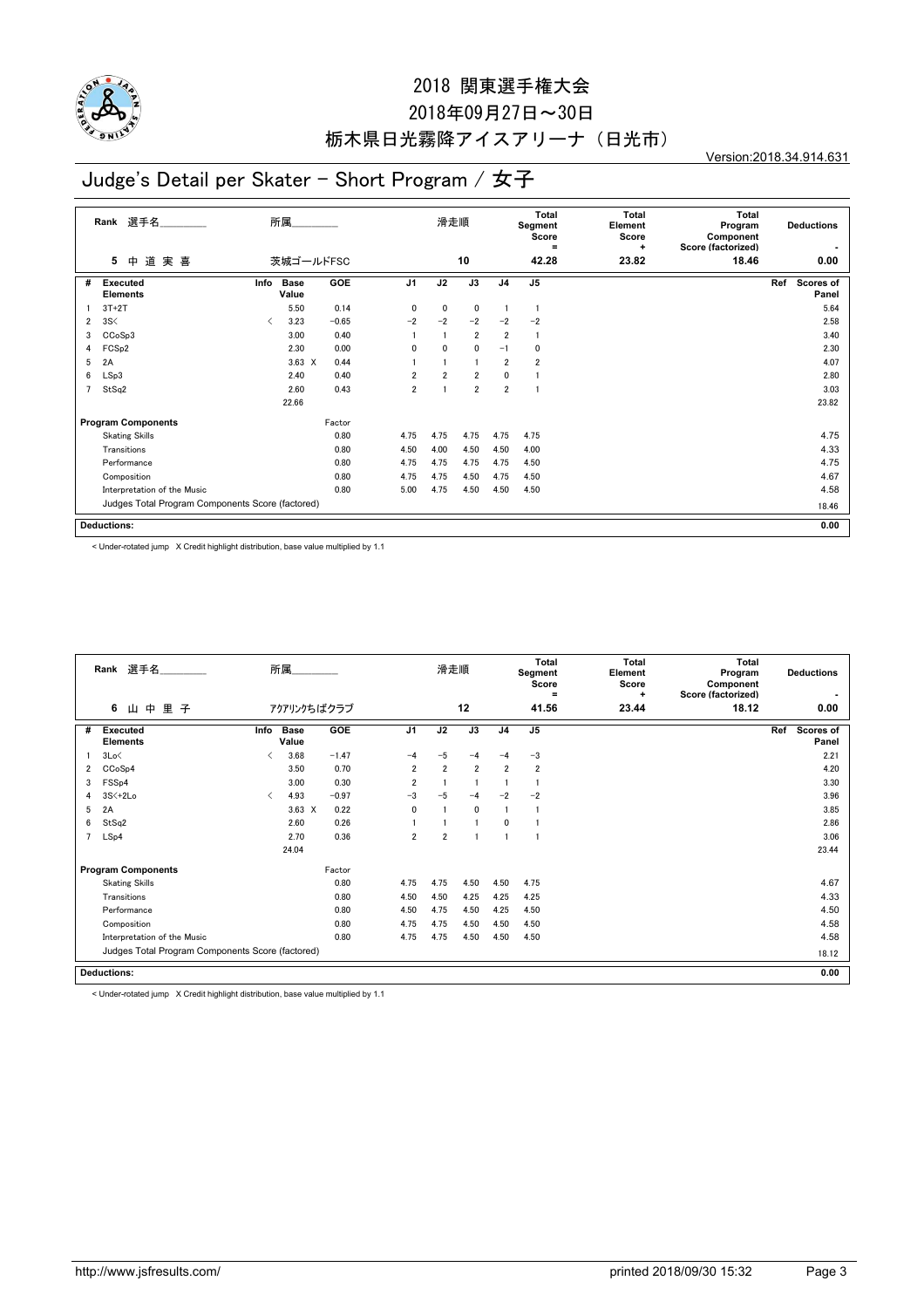

## 2018年09月27日~30日 栃木県日光霧降アイスアリーナ(日光市)

Version:2018.34.914.631

# Judge's Detail per Skater - Short Program / 女子

|                | 選手名<br>Rank                                      |                                          | 所属            |            |                | 滑走順            |                |                | Total<br>Segment<br>Score<br>$=$ | <b>Total</b><br>Element<br>Score<br>÷ | <b>Total</b><br>Program<br>Component<br>Score (factorized) |     | <b>Deductions</b>  |
|----------------|--------------------------------------------------|------------------------------------------|---------------|------------|----------------|----------------|----------------|----------------|----------------------------------|---------------------------------------|------------------------------------------------------------|-----|--------------------|
|                | 道実喜<br>5<br>中                                    |                                          | 茨城ゴールドFSC     |            |                |                | 10             |                | 42.28                            | 23.82                                 | 18.46                                                      |     | 0.00               |
| #              | <b>Executed</b><br><b>Elements</b>               | Info                                     | Base<br>Value | <b>GOE</b> | J <sub>1</sub> | J2             | J3             | J <sub>4</sub> | J <sub>5</sub>                   |                                       |                                                            | Ref | Scores of<br>Panel |
|                | $3T+2T$                                          |                                          | 5.50          | 0.14       | 0              | 0              | 0              |                | -1                               |                                       |                                                            |     | 5.64               |
| $\overline{2}$ | 3S<                                              | $\overline{\left\langle \right\rangle }$ | 3.23          | $-0.65$    | $-2$           | $-2$           | $-2$           | $-2$           | $-2$                             |                                       |                                                            |     | 2.58               |
| 3              | CCoSp3                                           |                                          | 3.00          | 0.40       |                |                | $\overline{2}$ | $\overline{2}$ | -1                               |                                       |                                                            |     | 3.40               |
| 4              | FCS <sub>p2</sub>                                |                                          | 2.30          | 0.00       | 0              | $\mathbf{0}$   | 0              | $-1$           | 0                                |                                       |                                                            |     | 2.30               |
| 5              | 2A                                               |                                          | $3.63 \times$ | 0.44       |                |                |                | $\overline{2}$ | 2                                |                                       |                                                            |     | 4.07               |
| 6              | LSp3                                             |                                          | 2.40          | 0.40       | $\overline{2}$ | $\overline{2}$ | $\overline{2}$ | 0              |                                  |                                       |                                                            |     | 2.80               |
| 7              | StSq2                                            |                                          | 2.60          | 0.43       | $\overline{2}$ |                | $\overline{2}$ | $\overline{2}$ |                                  |                                       |                                                            |     | 3.03               |
|                |                                                  |                                          | 22.66         |            |                |                |                |                |                                  |                                       |                                                            |     | 23.82              |
|                | <b>Program Components</b>                        |                                          |               | Factor     |                |                |                |                |                                  |                                       |                                                            |     |                    |
|                | <b>Skating Skills</b>                            |                                          |               | 0.80       | 4.75           | 4.75           | 4.75           | 4.75           | 4.75                             |                                       |                                                            |     | 4.75               |
|                | Transitions                                      |                                          |               | 0.80       | 4.50           | 4.00           | 4.50           | 4.50           | 4.00                             |                                       |                                                            |     | 4.33               |
|                | Performance                                      |                                          |               | 0.80       | 4.75           | 4.75           | 4.75           | 4.75           | 4.50                             |                                       |                                                            |     | 4.75               |
|                | Composition                                      |                                          |               | 0.80       | 4.75           | 4.75           | 4.50           | 4.75           | 4.50                             |                                       |                                                            |     | 4.67               |
|                | Interpretation of the Music                      |                                          |               | 0.80       | 5.00           | 4.75           | 4.50           | 4.50           | 4.50                             |                                       |                                                            |     | 4.58               |
|                | Judges Total Program Components Score (factored) |                                          |               |            |                |                |                |                |                                  |                                       |                                                            |     | 18.46              |
|                | <b>Deductions:</b>                               |                                          |               |            |                |                |                |                |                                  |                                       |                                                            |     | 0.00               |

< Under-rotated jump X Credit highlight distribution, base value multiplied by 1.1

|   | Rank 選手名                                         |                               | 所属                   |         |                | 滑走順            |                |                | <b>Total</b><br>Segment<br>Score<br>$\equiv$ | <b>Total</b><br>Element<br>Score<br>٠ | Total<br>Program<br>Component<br>Score (factorized) | <b>Deductions</b>                |
|---|--------------------------------------------------|-------------------------------|----------------------|---------|----------------|----------------|----------------|----------------|----------------------------------------------|---------------------------------------|-----------------------------------------------------|----------------------------------|
|   | 里<br>6<br>中<br>子<br>Щ                            |                               | アクアリンクちばクラブ          |         |                |                | 12             |                | 41.56                                        | 23.44                                 | 18.12                                               | 0.00                             |
| # | <b>Executed</b><br><b>Elements</b>               | Info                          | <b>Base</b><br>Value | GOE     | J <sub>1</sub> | J2             | J3             | J <sub>4</sub> | J <sub>5</sub>                               |                                       |                                                     | Ref<br><b>Scores of</b><br>Panel |
|   | 3Lo<                                             | ✓                             | 3.68                 | $-1.47$ | $-4$           | $-5$           | $-4$           | -4             | $-3$                                         |                                       |                                                     | 2.21                             |
| 2 | CCoSp4                                           |                               | 3.50                 | 0.70    | $\overline{2}$ | $\overline{2}$ | $\overline{2}$ | $\overline{2}$ | $\overline{2}$                               |                                       |                                                     | 4.20                             |
| 3 | FSS <sub>p4</sub>                                |                               | 3.00                 | 0.30    | $\overline{2}$ |                |                |                |                                              |                                       |                                                     | 3.30                             |
| 4 | 3S<+2Lo                                          | $\overline{\left( \right. }%$ | 4.93                 | $-0.97$ | $-3$           | $-5$           | $-4$           | $-2$           | $-2$                                         |                                       |                                                     | 3.96                             |
| 5 | 2A                                               |                               | $3.63 \times$        | 0.22    | 0              |                | $\mathbf{0}$   |                |                                              |                                       |                                                     | 3.85                             |
| 6 | StSq2                                            |                               | 2.60                 | 0.26    |                |                |                | $\mathbf{0}$   |                                              |                                       |                                                     | 2.86                             |
| 7 | LSp4                                             |                               | 2.70                 | 0.36    | $\overline{2}$ | $\overline{2}$ |                |                |                                              |                                       |                                                     | 3.06                             |
|   |                                                  |                               | 24.04                |         |                |                |                |                |                                              |                                       |                                                     | 23.44                            |
|   | <b>Program Components</b>                        |                               |                      | Factor  |                |                |                |                |                                              |                                       |                                                     |                                  |
|   | <b>Skating Skills</b>                            |                               |                      | 0.80    | 4.75           | 4.75           | 4.50           | 4.50           | 4.75                                         |                                       |                                                     | 4.67                             |
|   | Transitions                                      |                               |                      | 0.80    | 4.50           | 4.50           | 4.25           | 4.25           | 4.25                                         |                                       |                                                     | 4.33                             |
|   | Performance                                      |                               |                      | 0.80    | 4.50           | 4.75           | 4.50           | 4.25           | 4.50                                         |                                       |                                                     | 4.50                             |
|   | Composition                                      |                               |                      | 0.80    | 4.75           | 4.75           | 4.50           | 4.50           | 4.50                                         |                                       |                                                     | 4.58                             |
|   | Interpretation of the Music                      |                               |                      | 0.80    | 4.75           | 4.75           | 4.50           | 4.50           | 4.50                                         |                                       |                                                     | 4.58                             |
|   | Judges Total Program Components Score (factored) |                               |                      |         |                |                |                |                |                                              |                                       |                                                     | 18.12                            |
|   | <b>Deductions:</b>                               |                               |                      |         |                |                |                |                |                                              |                                       |                                                     | 0.00                             |

< Under-rotated jump X Credit highlight distribution, base value multiplied by 1.1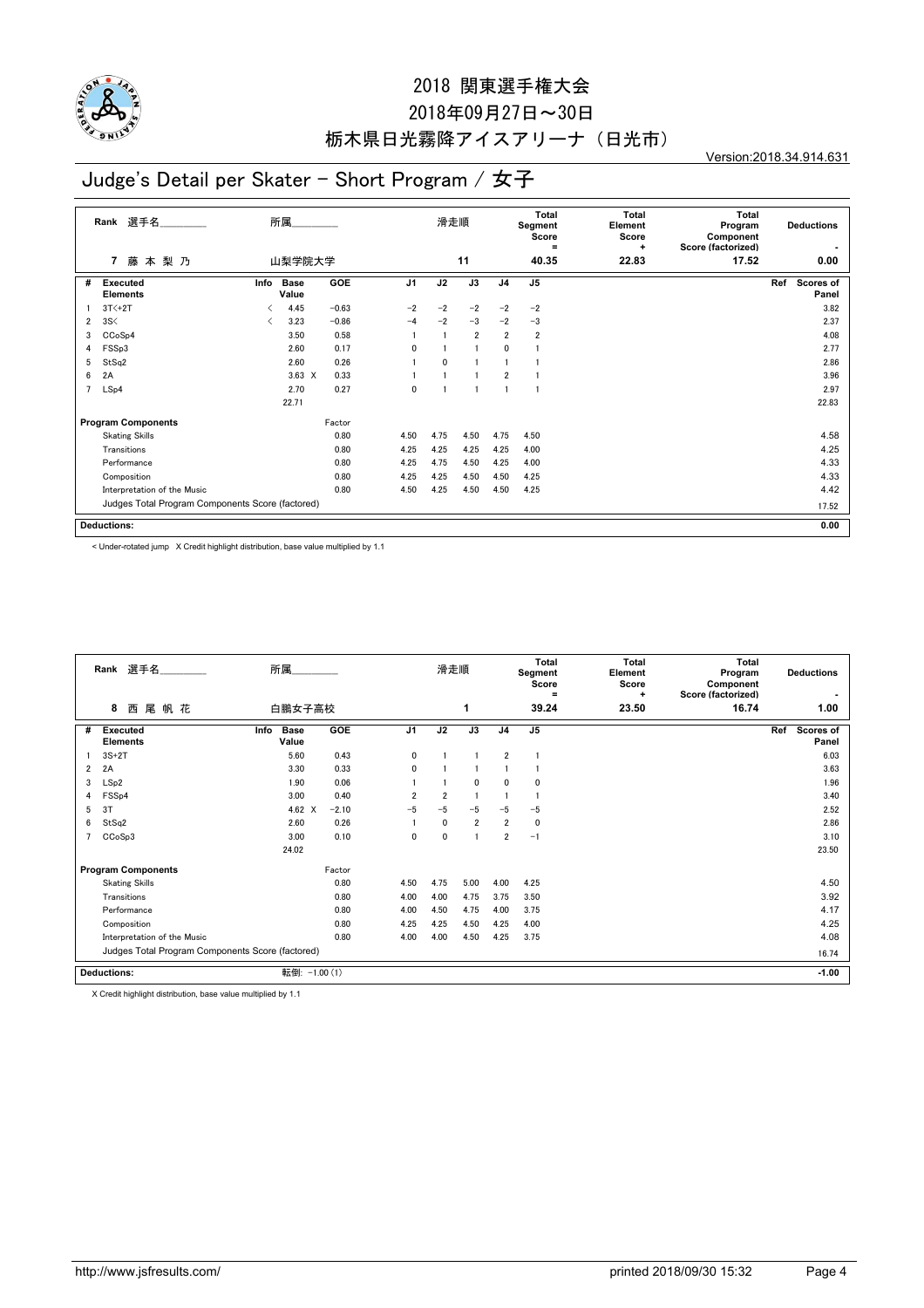

## 2018年09月27日~30日 栃木県日光霧降アイスアリーナ(日光市)

Version:2018.34.914.631

# Judge's Detail per Skater - Short Program / 女子

|   | 選手名<br>Rank                                      |      | 所属            |            |                | 滑走順  |                 |                | <b>Total</b><br>Segment<br>Score<br>$=$ | <b>Total</b><br>Element<br>Score<br>÷ | <b>Total</b><br>Program<br>Component<br>Score (factorized) | <b>Deductions</b>         |  |
|---|--------------------------------------------------|------|---------------|------------|----------------|------|-----------------|----------------|-----------------------------------------|---------------------------------------|------------------------------------------------------------|---------------------------|--|
|   | 藤本梨乃<br>7                                        |      | 山梨学院大学        |            |                |      | 11              |                | 40.35                                   | 22.83                                 | 17.52                                                      | 0.00                      |  |
| # | <b>Executed</b><br><b>Elements</b>               | Info | Base<br>Value | <b>GOE</b> | J <sub>1</sub> | J2   | $\overline{J3}$ | J <sub>4</sub> | J <sub>5</sub>                          |                                       |                                                            | Ref<br>Scores of<br>Panel |  |
|   | $3T<+2T$                                         |      | 4.45          | $-0.63$    | $-2$           | $-2$ | $-2$            | $-2$           | $-2$                                    |                                       |                                                            | 3.82                      |  |
| 2 | 3S<                                              | ✓    | 3.23          | $-0.86$    | $-4$           | $-2$ | $-3$            | $-2$           | $-3$                                    |                                       |                                                            | 2.37                      |  |
| 3 | CCoSp4                                           |      | 3.50          | 0.58       |                |      | $\overline{2}$  | $\overline{2}$ | $\overline{2}$                          |                                       |                                                            | 4.08                      |  |
| 4 | FSSp3                                            |      | 2.60          | 0.17       | $\mathbf{0}$   |      |                 | 0              |                                         |                                       |                                                            | 2.77                      |  |
| 5 | StSq2                                            |      | 2.60          | 0.26       |                | 0    |                 |                |                                         |                                       |                                                            | 2.86                      |  |
| 6 | 2A                                               |      | $3.63 \times$ | 0.33       |                |      |                 | $\overline{2}$ |                                         |                                       |                                                            | 3.96                      |  |
| 7 | LSp4                                             |      | 2.70          | 0.27       | $\mathbf{0}$   |      |                 |                |                                         |                                       |                                                            | 2.97                      |  |
|   |                                                  |      | 22.71         |            |                |      |                 |                |                                         |                                       |                                                            | 22.83                     |  |
|   | <b>Program Components</b>                        |      |               | Factor     |                |      |                 |                |                                         |                                       |                                                            |                           |  |
|   | <b>Skating Skills</b>                            |      |               | 0.80       | 4.50           | 4.75 | 4.50            | 4.75           | 4.50                                    |                                       |                                                            | 4.58                      |  |
|   | Transitions                                      |      |               | 0.80       | 4.25           | 4.25 | 4.25            | 4.25           | 4.00                                    |                                       |                                                            | 4.25                      |  |
|   | Performance                                      |      |               | 0.80       | 4.25           | 4.75 | 4.50            | 4.25           | 4.00                                    |                                       |                                                            | 4.33                      |  |
|   | Composition                                      |      |               | 0.80       | 4.25           | 4.25 | 4.50            | 4.50           | 4.25                                    |                                       |                                                            | 4.33                      |  |
|   | Interpretation of the Music                      |      |               | 0.80       | 4.50           | 4.25 | 4.50            | 4.50           | 4.25                                    |                                       |                                                            | 4.42                      |  |
|   | Judges Total Program Components Score (factored) |      |               |            |                |      |                 |                |                                         |                                       |                                                            | 17.52                     |  |
|   | <b>Deductions:</b>                               |      |               |            |                |      |                 |                |                                         |                                       |                                                            | 0.00                      |  |

< Under-rotated jump X Credit highlight distribution, base value multiplied by 1.1

|   | Rank 選手名                                         | 所属                           |         |                | 滑走順            |                |                | Total<br>Segment<br>Score<br>Ξ | <b>Total</b><br>Element<br>Score<br>٠ | Total<br>Program<br>Component<br>Score (factorized) | <b>Deductions</b>         |
|---|--------------------------------------------------|------------------------------|---------|----------------|----------------|----------------|----------------|--------------------------------|---------------------------------------|-----------------------------------------------------|---------------------------|
|   | 尾帆花<br>8<br>西                                    | 白鵬女子高校                       |         |                |                | 1              |                | 39.24                          | 23.50                                 | 16.74                                               | 1.00                      |
| # | <b>Executed</b><br><b>Elements</b>               | <b>Base</b><br>Info<br>Value | GOE     | J <sub>1</sub> | J2             | J3             | J <sub>4</sub> | J <sub>5</sub>                 |                                       |                                                     | Ref<br>Scores of<br>Panel |
|   | $3S+2T$                                          | 5.60                         | 0.43    | $\mathbf{0}$   |                |                | $\overline{2}$ |                                |                                       |                                                     | 6.03                      |
| 2 | 2A                                               | 3.30                         | 0.33    | $\mathbf{0}$   |                |                |                |                                |                                       |                                                     | 3.63                      |
| 3 | LSp2                                             | 1.90                         | 0.06    |                |                | $\mathbf{0}$   | 0              | $\Omega$                       |                                       |                                                     | 1.96                      |
|   | FSS <sub>p4</sub>                                | 3.00                         | 0.40    | $\overline{2}$ | $\overline{2}$ |                |                |                                |                                       |                                                     | 3.40                      |
| 5 | 3T                                               | 4.62 $\times$                | $-2.10$ | $-5$           | $-5$           | $-5$           | $-5$           | $-5$                           |                                       |                                                     | 2.52                      |
| 6 | StSq2                                            | 2.60                         | 0.26    |                | $\mathbf{0}$   | $\overline{2}$ | $\overline{2}$ | $\mathbf 0$                    |                                       |                                                     | 2.86                      |
|   | CCoSp3                                           | 3.00                         | 0.10    | $\mathbf{0}$   | 0              | 1              | $\overline{2}$ | $-1$                           |                                       |                                                     | 3.10                      |
|   |                                                  | 24.02                        |         |                |                |                |                |                                |                                       |                                                     | 23.50                     |
|   | <b>Program Components</b>                        |                              | Factor  |                |                |                |                |                                |                                       |                                                     |                           |
|   | <b>Skating Skills</b>                            |                              | 0.80    | 4.50           | 4.75           | 5.00           | 4.00           | 4.25                           |                                       |                                                     | 4.50                      |
|   | Transitions                                      |                              | 0.80    | 4.00           | 4.00           | 4.75           | 3.75           | 3.50                           |                                       |                                                     | 3.92                      |
|   | Performance                                      |                              | 0.80    | 4.00           | 4.50           | 4.75           | 4.00           | 3.75                           |                                       |                                                     | 4.17                      |
|   | Composition                                      |                              | 0.80    | 4.25           | 4.25           | 4.50           | 4.25           | 4.00                           |                                       |                                                     | 4.25                      |
|   | Interpretation of the Music                      |                              | 0.80    | 4.00           | 4.00           | 4.50           | 4.25           | 3.75                           |                                       |                                                     | 4.08                      |
|   | Judges Total Program Components Score (factored) |                              |         |                |                |                |                |                                |                                       |                                                     | 16.74                     |
|   | <b>Deductions:</b>                               | 転倒: -1.00 (1)                |         |                |                |                |                |                                |                                       |                                                     | $-1.00$                   |

X Credit highlight distribution, base value multiplied by 1.1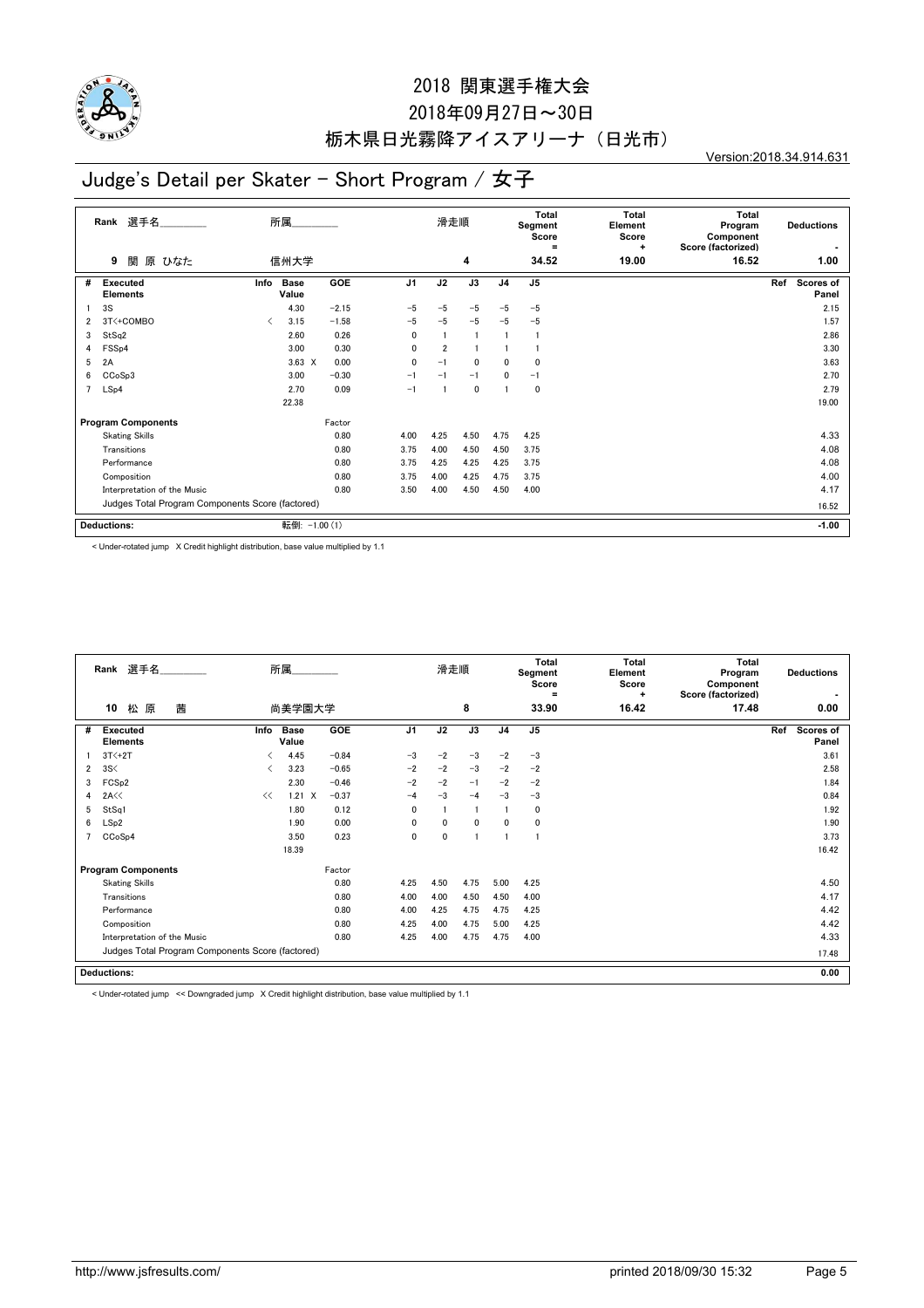

## 2018年09月27日~30日 栃木県日光霧降アイスアリーナ(日光市)

Version:2018.34.914.631

# Judge's Detail per Skater - Short Program / 女子

|   | 選手名<br>Rank                                      |                                          | 所属                   |            |                | 滑走順            |                |                | Total<br>Segment<br>Score<br>$=$ | <b>Total</b><br>Element<br>Score<br>÷ | <b>Total</b><br>Program<br>Component<br>Score (factorized) | <b>Deductions</b>         |  |
|---|--------------------------------------------------|------------------------------------------|----------------------|------------|----------------|----------------|----------------|----------------|----------------------------------|---------------------------------------|------------------------------------------------------------|---------------------------|--|
|   | 関<br>原 ひなた<br>9                                  |                                          | 信州大学                 |            |                |                | 4              |                | 34.52                            | 19.00                                 | 16.52                                                      | 1.00                      |  |
| # | <b>Executed</b><br><b>Elements</b>               | Info                                     | <b>Base</b><br>Value | <b>GOE</b> | J <sub>1</sub> | J2             | J3             | J <sub>4</sub> | J5                               |                                       |                                                            | Scores of<br>Ref<br>Panel |  |
|   | 3S                                               |                                          | 4.30                 | $-2.15$    | $-5$           | $-5$           | $-5$           | $-5$           | $-5$                             |                                       |                                                            | 2.15                      |  |
| 2 | 3T<+COMBO                                        | $\overline{\left\langle \right\rangle }$ | 3.15                 | $-1.58$    | $-5$           | $-5$           | $-5$           | $-5$           | $-5$                             |                                       |                                                            | 1.57                      |  |
| 3 | StSq2                                            |                                          | 2.60                 | 0.26       | 0              |                | $\overline{1}$ |                |                                  |                                       |                                                            | 2.86                      |  |
| 4 | FSSp4                                            |                                          | 3.00                 | 0.30       | 0              | $\overline{2}$ |                |                |                                  |                                       |                                                            | 3.30                      |  |
| 5 | 2A                                               |                                          | $3.63 \times$        | 0.00       | 0              | $-1$           | $\mathbf 0$    | 0              | 0                                |                                       |                                                            | 3.63                      |  |
| 6 | CCoSp3                                           |                                          | 3.00                 | $-0.30$    | $-1$           | $-1$           | $-1$           | 0              | $-1$                             |                                       |                                                            | 2.70                      |  |
| 7 | LSp4                                             |                                          | 2.70                 | 0.09       | $-1$           |                | $\mathbf 0$    |                | 0                                |                                       |                                                            | 2.79                      |  |
|   |                                                  |                                          | 22.38                |            |                |                |                |                |                                  |                                       |                                                            | 19.00                     |  |
|   | <b>Program Components</b>                        |                                          |                      | Factor     |                |                |                |                |                                  |                                       |                                                            |                           |  |
|   | <b>Skating Skills</b>                            |                                          |                      | 0.80       | 4.00           | 4.25           | 4.50           | 4.75           | 4.25                             |                                       |                                                            | 4.33                      |  |
|   | Transitions                                      |                                          |                      | 0.80       | 3.75           | 4.00           | 4.50           | 4.50           | 3.75                             |                                       |                                                            | 4.08                      |  |
|   | Performance                                      |                                          |                      | 0.80       | 3.75           | 4.25           | 4.25           | 4.25           | 3.75                             |                                       |                                                            | 4.08                      |  |
|   | Composition                                      |                                          |                      | 0.80       | 3.75           | 4.00           | 4.25           | 4.75           | 3.75                             |                                       |                                                            | 4.00                      |  |
|   | Interpretation of the Music                      |                                          |                      | 0.80       | 3.50           | 4.00           | 4.50           | 4.50           | 4.00                             |                                       |                                                            | 4.17                      |  |
|   | Judges Total Program Components Score (factored) |                                          |                      |            |                |                |                |                |                                  |                                       | 16.52                                                      |                           |  |
|   | Deductions:                                      |                                          | 転倒: -1.00 (1)        |            |                |                |                |                |                                  |                                       |                                                            | $-1.00$                   |  |

< Under-rotated jump X Credit highlight distribution, base value multiplied by 1.1

|                | Rank 選手名                                         |      | 所属                   |            |                | 滑走順          |             |                | Total<br>Segment<br>Score<br>$\equiv$ | Total<br>Element<br>Score<br>÷ | <b>Total</b><br>Program<br>Component<br>Score (factorized) | <b>Deductions</b>                |
|----------------|--------------------------------------------------|------|----------------------|------------|----------------|--------------|-------------|----------------|---------------------------------------|--------------------------------|------------------------------------------------------------|----------------------------------|
|                | 松 原<br>茜<br>10                                   |      | 尚美学園大学               |            |                |              | 8           |                | 33.90                                 | 16.42                          | 17.48                                                      | 0.00                             |
| #              | Executed<br><b>Elements</b>                      | Info | <b>Base</b><br>Value | <b>GOE</b> | J <sub>1</sub> | J2           | J3          | J <sub>4</sub> | J <sub>5</sub>                        |                                |                                                            | Ref<br><b>Scores of</b><br>Panel |
|                | $3T<+2T$                                         | ✓    | 4.45                 | $-0.84$    | $-3$           | $-2$         | $-3$        | $-2$           | $-3$                                  |                                |                                                            | 3.61                             |
| $\overline{2}$ | 3S<                                              | ✓    | 3.23                 | $-0.65$    | $-2$           | $-2$         | $-3$        | $-2$           | $-2$                                  |                                |                                                            | 2.58                             |
| 3              | FCS <sub>p2</sub>                                |      | 2.30                 | $-0.46$    | $-2$           | $-2$         | $-1$        | $-2$           | $-2$                                  |                                |                                                            | 1.84                             |
| 4              | 2A<<                                             | <<   | $1.21 \tX$           | $-0.37$    | $-4$           | $-3$         | $-4$        | $-3$           | $-3$                                  |                                |                                                            | 0.84                             |
| 5              | StSq1                                            |      | 1.80                 | 0.12       | 0              |              |             |                | 0                                     |                                |                                                            | 1.92                             |
| 6              | LSp2                                             |      | 1.90                 | 0.00       | $\mathbf 0$    | $\mathbf{0}$ | $\mathbf 0$ | 0              | $\mathbf 0$                           |                                |                                                            | 1.90                             |
|                | CCoSp4                                           |      | 3.50                 | 0.23       | 0              | 0            | -1          |                | J.                                    |                                |                                                            | 3.73                             |
|                |                                                  |      | 18.39                |            |                |              |             |                |                                       |                                |                                                            | 16.42                            |
|                | <b>Program Components</b>                        |      |                      | Factor     |                |              |             |                |                                       |                                |                                                            |                                  |
|                | <b>Skating Skills</b>                            |      |                      | 0.80       | 4.25           | 4.50         | 4.75        | 5.00           | 4.25                                  |                                |                                                            | 4.50                             |
|                | Transitions                                      |      |                      | 0.80       | 4.00           | 4.00         | 4.50        | 4.50           | 4.00                                  |                                |                                                            | 4.17                             |
|                | Performance                                      |      |                      | 0.80       | 4.00           | 4.25         | 4.75        | 4.75           | 4.25                                  |                                |                                                            | 4.42                             |
|                | Composition                                      |      |                      | 0.80       | 4.25           | 4.00         | 4.75        | 5.00           | 4.25                                  |                                |                                                            | 4.42                             |
|                | Interpretation of the Music                      |      |                      | 0.80       | 4.25           | 4.00         | 4.75        | 4.75           | 4.00                                  |                                |                                                            | 4.33                             |
|                | Judges Total Program Components Score (factored) |      |                      |            |                |              |             |                |                                       |                                |                                                            | 17.48                            |
|                | <b>Deductions:</b>                               |      |                      |            |                |              |             |                |                                       |                                |                                                            | 0.00                             |

< Under-rotated jump << Downgraded jump X Credit highlight distribution, base value multiplied by 1.1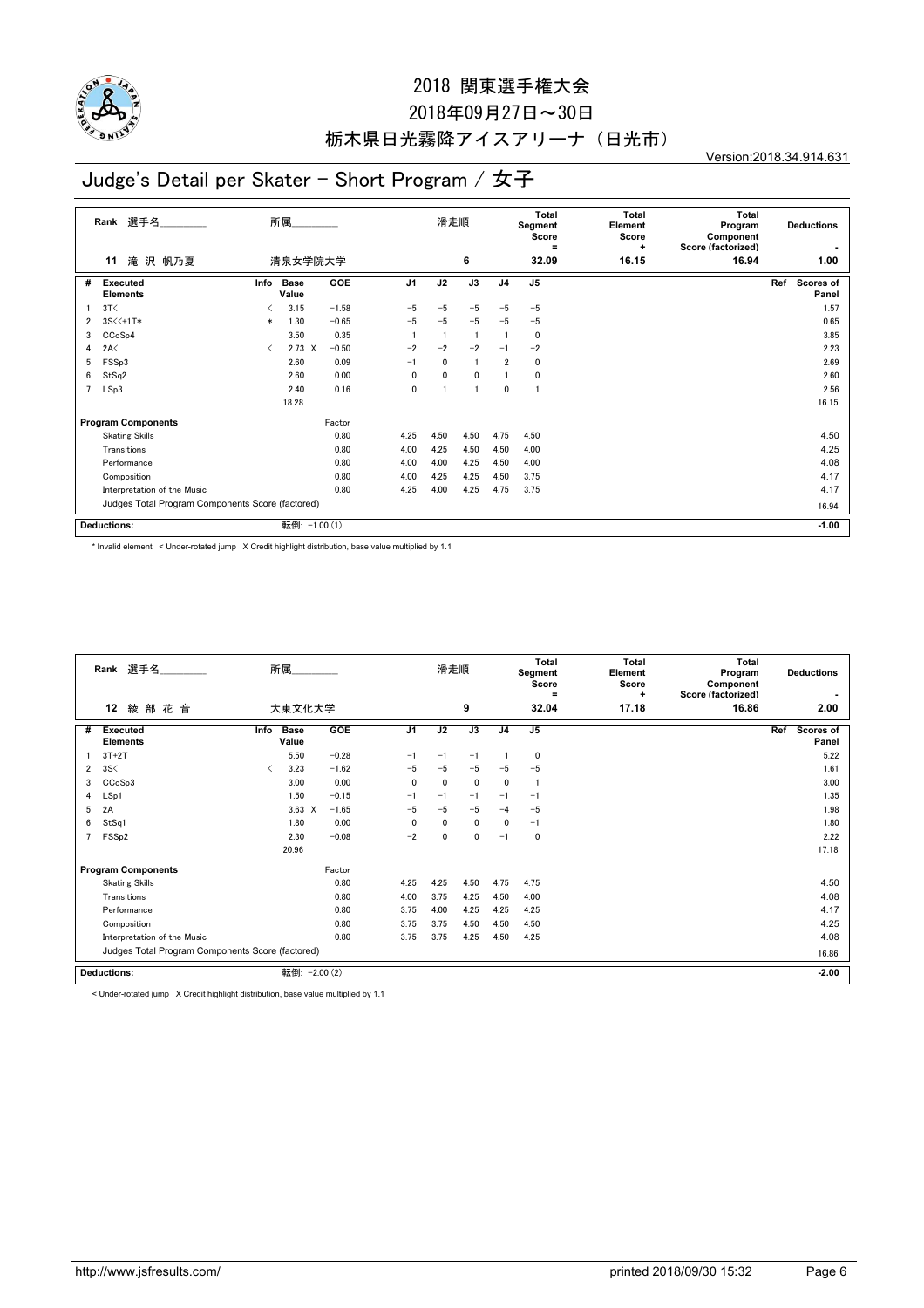

## 2018年09月27日~30日 栃木県日光霧降アイスアリーナ(日光市)

Version:2018.34.914.631

# Judge's Detail per Skater - Short Program / 女子

|   | 選手名<br>Rank                                      |        | 所属                   |         |                | 滑走順          |              |                | <b>Total</b><br>Segment<br>Score<br>$=$ | <b>Total</b><br>Element<br>Score<br>÷ | <b>Total</b><br>Program<br>Component<br>Score (factorized) | <b>Deductions</b>         |
|---|--------------------------------------------------|--------|----------------------|---------|----------------|--------------|--------------|----------------|-----------------------------------------|---------------------------------------|------------------------------------------------------------|---------------------------|
|   | 滝 沢 帆乃夏<br>11                                    |        | 清泉女学院大学              |         |                |              | 6            |                | 32.09                                   | 16.15                                 | 16.94                                                      | 1.00                      |
| # | <b>Executed</b><br><b>Elements</b>               | Info   | <b>Base</b><br>Value | GOE     | J <sub>1</sub> | J2           | J3           | J <sub>4</sub> | J <sub>5</sub>                          |                                       |                                                            | Ref<br>Scores of<br>Panel |
|   | 3T<                                              | ≺      | 3.15                 | $-1.58$ | $-5$           | $-5$         | $-5$         | $-5$           | $-5$                                    |                                       |                                                            | 1.57                      |
| 2 | 3S<<+1T*                                         | $\ast$ | 1.30                 | $-0.65$ | $-5$           | $-5$         | $-5$         | $-5$           | $-5$                                    |                                       |                                                            | 0.65                      |
| 3 | CCoSp4                                           |        | 3.50                 | 0.35    |                |              |              |                | $\mathbf 0$                             |                                       |                                                            | 3.85                      |
| 4 | 2A<                                              | ✓      | $2.73 \times$        | $-0.50$ | $-2$           | $-2$         | $-2$         | $-1$           | $-2$                                    |                                       |                                                            | 2.23                      |
| 5 | FSSp3                                            |        | 2.60                 | 0.09    | $-1$           | 0            |              | $\overline{2}$ | 0                                       |                                       |                                                            | 2.69                      |
| 6 | StSq2                                            |        | 2.60                 | 0.00    | $\mathbf{0}$   | $\mathbf{0}$ | $\mathbf{0}$ |                | 0                                       |                                       |                                                            | 2.60                      |
| 7 | LSp3                                             |        | 2.40                 | 0.16    | 0              |              |              | 0              | 1                                       |                                       |                                                            | 2.56                      |
|   |                                                  |        | 18.28                |         |                |              |              |                |                                         |                                       |                                                            | 16.15                     |
|   | <b>Program Components</b>                        |        |                      | Factor  |                |              |              |                |                                         |                                       |                                                            |                           |
|   | <b>Skating Skills</b>                            |        |                      | 0.80    | 4.25           | 4.50         | 4.50         | 4.75           | 4.50                                    |                                       |                                                            | 4.50                      |
|   | Transitions                                      |        |                      | 0.80    | 4.00           | 4.25         | 4.50         | 4.50           | 4.00                                    |                                       |                                                            | 4.25                      |
|   | Performance                                      |        |                      | 0.80    | 4.00           | 4.00         | 4.25         | 4.50           | 4.00                                    |                                       |                                                            | 4.08                      |
|   | Composition                                      |        |                      | 0.80    | 4.00           | 4.25         | 4.25         | 4.50           | 3.75                                    |                                       |                                                            | 4.17                      |
|   | Interpretation of the Music                      |        |                      | 0.80    | 4.25           | 4.00         | 4.25         | 4.75           | 3.75                                    |                                       |                                                            | 4.17                      |
|   | Judges Total Program Components Score (factored) |        |                      |         |                |              |              |                |                                         |                                       | 16.94                                                      |                           |
|   | <b>Deductions:</b>                               |        | 転倒: -1.00 (1)        |         |                |              |              |                |                                         |                                       |                                                            | $-1.00$                   |

\* Invalid element < Under-rotated jump X Credit highlight distribution, base value multiplied by 1.1

|                | Rank 選手名                                         |      | 所属                   |            |                | 滑走順          |              |                | <b>Total</b><br>Segment<br>Score<br>Ξ | <b>Total</b><br>Element<br>Score<br>٠ | Total<br>Program<br>Component<br>Score (factorized) |     | <b>Deductions</b>  |
|----------------|--------------------------------------------------|------|----------------------|------------|----------------|--------------|--------------|----------------|---------------------------------------|---------------------------------------|-----------------------------------------------------|-----|--------------------|
|                | 花<br>12<br>綾 部<br>音                              |      | 大東文化大学               |            |                |              | 9            |                | 32.04                                 | 17.18                                 | 16.86                                               |     | 2.00               |
| #              | <b>Executed</b><br><b>Elements</b>               | Info | <b>Base</b><br>Value | <b>GOE</b> | J <sub>1</sub> | J2           | J3           | J <sub>4</sub> | J <sub>5</sub>                        |                                       |                                                     | Ref | Scores of<br>Panel |
|                | $3T+2T$                                          |      | 5.50                 | $-0.28$    | $-1$           | $-1$         | $-1$         |                | 0                                     |                                       |                                                     |     | 5.22               |
| $\overline{2}$ | 3S<                                              | ≺    | 3.23                 | $-1.62$    | $-5$           | $-5$         | $-5$         | $-5$           | $-5$                                  |                                       |                                                     |     | 1.61               |
| 3              | CCoSp3                                           |      | 3.00                 | 0.00       | $\mathbf{0}$   | $\mathbf{0}$ | $\mathbf 0$  | $\mathbf{0}$   |                                       |                                       |                                                     |     | 3.00               |
| 4              | LSp1                                             |      | 1.50                 | $-0.15$    | $-1$           | $-1$         | $-1$         | $-1$           | $-1$                                  |                                       |                                                     |     | 1.35               |
| 5              | 2A                                               |      | $3.63 \times$        | $-1.65$    | $-5$           | $-5$         | $-5$         | $-4$           | $-5$                                  |                                       |                                                     |     | 1.98               |
| 6              | StSq1                                            |      | 1.80                 | 0.00       | $\Omega$       | $\mathbf{0}$ | $\mathbf{0}$ | $\mathbf{0}$   | $-1$                                  |                                       |                                                     |     | 1.80               |
| 7              | FSS <sub>p2</sub>                                |      | 2.30                 | $-0.08$    | $-2$           | $\mathbf 0$  | 0            | $-1$           | 0                                     |                                       |                                                     |     | 2.22               |
|                |                                                  |      | 20.96                |            |                |              |              |                |                                       |                                       |                                                     |     | 17.18              |
|                | <b>Program Components</b>                        |      |                      | Factor     |                |              |              |                |                                       |                                       |                                                     |     |                    |
|                | <b>Skating Skills</b>                            |      |                      | 0.80       | 4.25           | 4.25         | 4.50         | 4.75           | 4.75                                  |                                       |                                                     |     | 4.50               |
|                | Transitions                                      |      |                      | 0.80       | 4.00           | 3.75         | 4.25         | 4.50           | 4.00                                  |                                       |                                                     |     | 4.08               |
|                | Performance                                      |      |                      | 0.80       | 3.75           | 4.00         | 4.25         | 4.25           | 4.25                                  |                                       |                                                     |     | 4.17               |
|                | Composition                                      |      |                      | 0.80       | 3.75           | 3.75         | 4.50         | 4.50           | 4.50                                  |                                       |                                                     |     | 4.25               |
|                | Interpretation of the Music                      |      |                      | 0.80       | 3.75           | 3.75         | 4.25         | 4.50           | 4.25                                  |                                       |                                                     |     | 4.08               |
|                | Judges Total Program Components Score (factored) |      |                      |            |                |              |              |                |                                       |                                       |                                                     |     | 16.86              |
|                | <b>Deductions:</b>                               |      | 転倒: - 2.00 (2)       |            |                |              |              |                |                                       |                                       |                                                     |     | $-2.00$            |

< Under-rotated jump X Credit highlight distribution, base value multiplied by 1.1